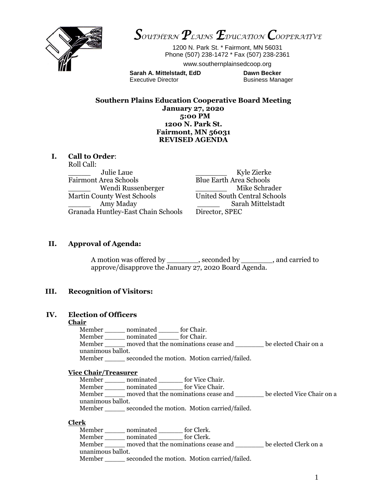

*SOUTHERN PLAINS EDUCATION COOPERATIVE* 

1200 N. Park St. \* Fairmont, MN 56031 Phone (507) 238-1472 \* Fax (507) 238-2361

www.southernplainsedcoop.org

**Sarah A. Mittelstadt, EdD Dawn Becker**  Executive Director **Business Manager** Business Manager

**Southern Plains Education Cooperative Board Meeting January 27, 2020 5:00 PM 1200 N. Park St. Fairmont, MN 56031 REVISED AGENDA**

## **I. Call to Order**:

Roll Call:

\_\_\_\_\_ Julie Laue \_\_\_\_\_\_\_ Kyle Zierke Fairmont Area Schools Blue Earth Area Schools Martin County West Schools United South Central Schools Granada Huntley-East Chain Schools Director, SPEC

Wendi Russenberger **and Mike Schrader** Mike Schrader Amy Maday **Amid Sarah Mittelstadt** 

## **II. Approval of Agenda:**

A motion was offered by \_\_\_\_\_\_\_\_, seconded by \_\_\_\_\_\_\_\_, and carried to approve/disapprove the January 27, 2020 Board Agenda.

## **III. Recognition of Visitors:**

## **IV. Election of Officers**

## **Chair**

Member \_\_\_\_\_ nominated \_\_\_\_\_ for Chair. Member \_\_\_\_\_ nominated \_\_\_\_\_ for Chair. Member \_\_\_\_\_ moved that the nominations cease and \_\_\_\_\_\_\_ be elected Chair on a unanimous ballot. Member seconded the motion. Motion carried/failed.

#### **Vice Chair/Treasurer**

Member \_\_\_\_\_\_ nominated \_\_\_\_\_\_\_ for Vice Chair. Member \_\_\_\_\_ nominated \_\_\_\_\_\_ for Vice Chair. Member \_\_\_\_\_ moved that the nominations cease and \_\_\_\_\_\_\_ be elected Vice Chair on a unanimous ballot. Member \_\_\_\_\_\_ seconded the motion. Motion carried/failed.

#### **Clerk**

Member \_\_\_\_\_ nominated \_\_\_\_\_\_ for Clerk. Member \_\_\_\_\_ nominated \_\_\_\_\_\_ for Clerk. Member \_\_\_\_\_ moved that the nominations cease and \_\_\_\_\_\_\_ be elected Clerk on a unanimous ballot. Member \_\_\_\_\_ seconded the motion. Motion carried/failed.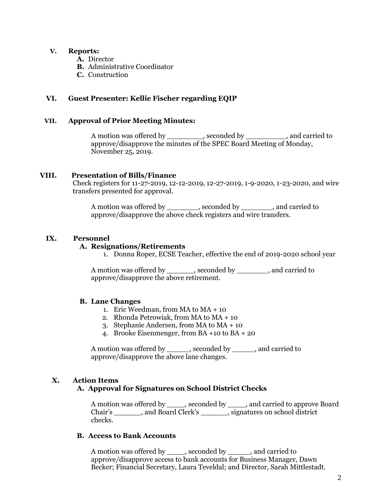## **V. Reports:**

- **A.** Director
- **B.** Administrative Coordinator
- **C.** Construction

## **VI. Guest Presenter: Kellie Fischer regarding EQIP**

#### **VII. Approval of Prior Meeting Minutes:**

A motion was offered by \_\_\_\_\_\_\_\_, seconded by \_\_\_\_\_\_\_\_\_, and carried to approve/disapprove the minutes of the SPEC Board Meeting of Monday, November 25, 2019.

## **VIII. Presentation of Bills/Finance**

Check registers for 11-27-2019, 12-12-2019, 12-27-2019, 1-9-2020, 1-23-2020, and wire transfers presented for approval.

A motion was offered by \_\_\_\_\_\_\_, seconded by \_\_\_\_\_\_\_, and carried to approve/disapprove the above check registers and wire transfers.

## **IX. Personnel**

## **A. Resignations/Retirements**

1. Donna Roper, ECSE Teacher, effective the end of 2019-2020 school year

A motion was offered by \_\_\_\_\_\_, seconded by \_\_\_\_\_\_\_, and carried to approve/disapprove the above retirement.

## **B. Lane Changes**

- 1. Eric Weedman, from MA to MA + 10
- 2. Rhonda Petrowiak, from MA to MA + 10
- 3. Stephanie Andersen, from MA to MA + 10
- 4. Brooke Eisenmenger, from BA +10 to BA + 20

A motion was offered by \_\_\_\_\_, seconded by \_\_\_\_\_, and carried to approve/disapprove the above lane changes.

# **X. Action Items**

# **A. Approval for Signatures on School District Checks**

A motion was offered by \_\_\_\_, seconded by \_\_\_\_, and carried to approve Board Chair's \_\_\_\_\_\_, and Board Clerk's \_\_\_\_\_\_, signatures on school district checks.

## **B. Access to Bank Accounts**

A motion was offered by \_\_\_\_, seconded by \_\_\_\_\_, and carried to approve/disapprove access to bank accounts for Business Manager, Dawn Becker; Financial Secretary, Laura Teveldal; and Director, Sarah Mittlestadt.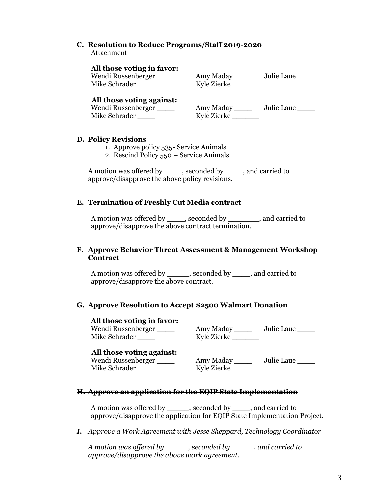#### **C. Resolution to Reduce Programs/Staff 2019-2020** Attachment

# **All those voting in favor:**

Amy Maday \_\_\_\_\_\_ Julie Laue \_\_\_\_\_ Mike Schrader \_\_\_\_\_\_ Kyle Zierke \_\_\_\_\_\_\_

# **All those voting against:**

Wendi Russenberger Mike Schrader

| Amy Maday   | Julie Laue |
|-------------|------------|
| Kyle Zierke |            |

## **D. Policy Revisions**

- 1. Approve policy 535- Service Animals
- 2. Rescind Policy 550 Service Animals

A motion was offered by econded by , seconded by , and carried to approve/disapprove the above policy revisions.

## **E. Termination of Freshly Cut Media contract**

A motion was offered by \_\_\_\_, seconded by \_\_\_\_\_\_\_, and carried to approve/disapprove the above contract termination.

## **F. Approve Behavior Threat Assessment & Management Workshop Contract**

A motion was offered by \_\_\_\_\_, seconded by \_\_\_\_, and carried to approve/disapprove the above contract.

## **G. Approve Resolution to Accept \$2500 Walmart Donation**

## **All those voting in favor:**

Wendi Russenberger \_\_\_\_ Amy Maday \_\_\_\_ Julie Laue \_\_\_\_ Mike Schrader \_\_\_\_\_\_ Kyle Zierke \_\_\_\_\_\_\_\_

## **All those voting against:**

Wendi Russenberger Mike Schrader \_\_\_\_\_\_ Ky

| Amy Maday   | Julie Laue |
|-------------|------------|
| Kyle Zierke |            |

# **H. Approve an application for the EQIP State Implementation**

A motion was offered by seconded by and carried to approve/disapprove the application for EQIP State Implementation Project.

*I. Approve a Work Agreement with Jesse Sheppard, Technology Coordinator*

*A motion was offered by \_\_\_\_\_, seconded by \_\_\_\_\_, and carried to approve/disapprove the above work agreement.*